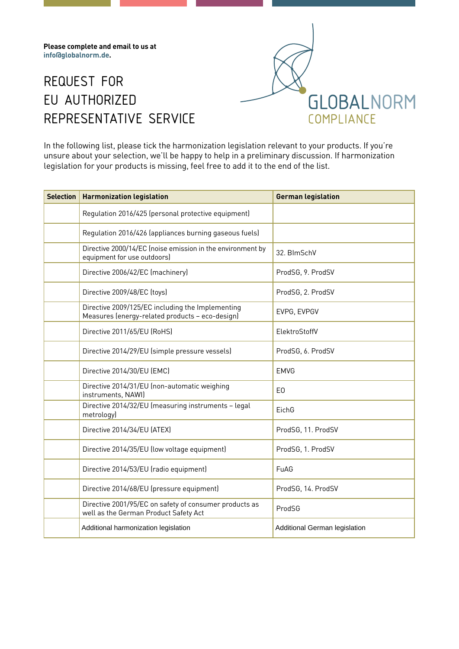**Please complete and email to us at inf[o@globalnorm.de.](mailto:info%40globalnorm.de?subject=Request%20for%20EU%20authorized%20representative%20service)**

## REQUEST FOR EU AUTHORIZED REPRESENTATIVE SERVICE



In the following list, please tick the harmonization legislation relevant to your products. If you're unsure about your selection, we'll be happy to help in a preliminary discussion. If harmonization legislation for your products is missing, feel free to add it to the end of the list.

| <b>Selection</b> | <b>Harmonization legislation</b>                                                                    | <b>German legislation</b>     |
|------------------|-----------------------------------------------------------------------------------------------------|-------------------------------|
|                  | Regulation 2016/425 (personal protective equipment)                                                 |                               |
|                  | Regulation 2016/426 (appliances burning gaseous fuels)                                              |                               |
|                  | Directive 2000/14/EC (noise emission in the environment by<br>equipment for use outdoors)           | 32. BlmSchV                   |
|                  | Directive 2006/42/EC (machinery)                                                                    | ProdSG, 9. ProdSV             |
|                  | Directive 2009/48/EC (toys)                                                                         | ProdSG, 2. ProdSV             |
|                  | Directive 2009/125/EC including the Implementing<br>Measures (energy-related products - eco-design) | EVPG, EVPGV                   |
|                  | Directive 2011/65/EU (RoHS)                                                                         | ElektroStoffV                 |
|                  | Directive 2014/29/EU (simple pressure vessels)                                                      | ProdSG, 6. ProdSV             |
|                  | Directive 2014/30/EU (EMC)                                                                          | <b>EMVG</b>                   |
|                  | Directive 2014/31/EU (non-automatic weighing<br>instruments, NAWI)                                  | E <sub>0</sub>                |
|                  | Directive 2014/32/EU (measuring instruments - legal<br>metrology)                                   | EichG                         |
|                  | Directive 2014/34/EU (ATEX)                                                                         | ProdSG, 11. ProdSV            |
|                  | Directive 2014/35/EU (low voltage equipment)                                                        | ProdSG, 1. ProdSV             |
|                  | Directive 2014/53/EU (radio equipment)                                                              | FuAG                          |
|                  | Directive 2014/68/EU (pressure equipment)                                                           | ProdSG, 14. ProdSV            |
|                  | Directive 2001/95/EC on safety of consumer products as<br>well as the German Product Safety Act     | ProdSG                        |
|                  | Additional harmonization legislation                                                                | Additional German legislation |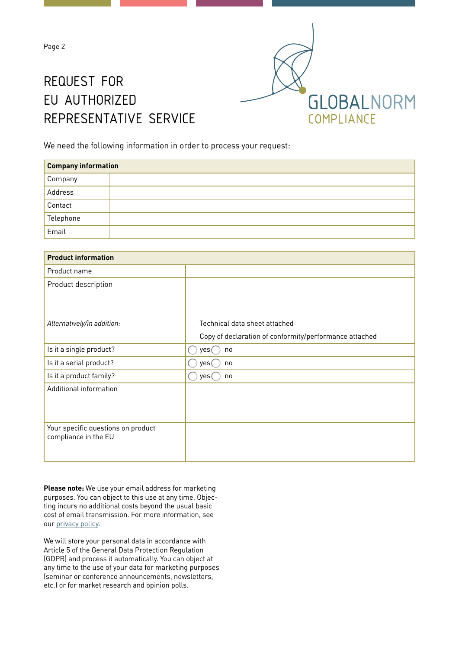Page 2

## REQUEST FOR EU AUTHORIZED REPRESENTATIVE SERVICE



We need the following information in order to process your request:

| <b>Company information</b> |  |  |
|----------------------------|--|--|
| , Company                  |  |  |
| Address                    |  |  |
| Contact                    |  |  |
| Telephone                  |  |  |
| Email                      |  |  |

| <b>Product information</b>         |                                                        |  |  |
|------------------------------------|--------------------------------------------------------|--|--|
| Product name                       |                                                        |  |  |
| Product description                |                                                        |  |  |
|                                    |                                                        |  |  |
|                                    |                                                        |  |  |
| Alternatively/in addition:         | Technical data sheet attached                          |  |  |
|                                    | Copy of declaration of conformity/performance attached |  |  |
| Is it a single product?            | yes (<br>no                                            |  |  |
| Is it a serial product?            | yes (<br>no                                            |  |  |
| Is it a product family?            | yes (<br>no                                            |  |  |
| Additional information             |                                                        |  |  |
|                                    |                                                        |  |  |
|                                    |                                                        |  |  |
| Your specific questions on product |                                                        |  |  |
| compliance in the EU               |                                                        |  |  |
|                                    |                                                        |  |  |

**Please note:** We use your email address for marketing purposes. You can object to this use at any time. Objecting incurs no additional costs beyond the usual basic cost of email transmission. For more information, see our [privacy policy](https://www.globalnorm.de/en/service/privacy/).

We will store your personal data in accordance with Article 5 of the General Data Protection Regulation (GDPR) and process it automatically. You can object at any time to the use of your data for marketing purposes (seminar or conference announcements, newsletters, etc.) or for market research and opinion polls.